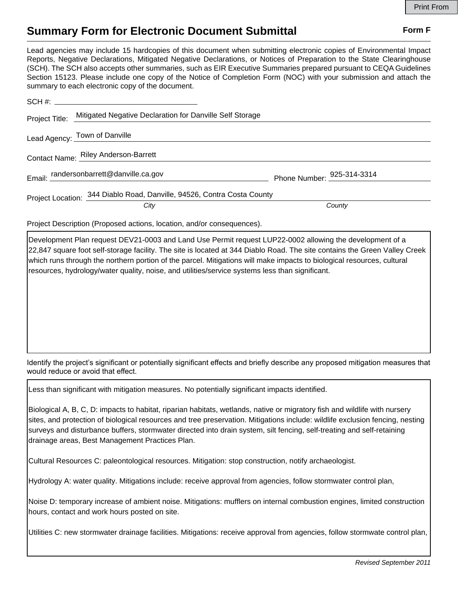## **Summary Form for Electronic Document Submittal Form F Form F**

Lead agencies may include 15 hardcopies of this document when submitting electronic copies of Environmental Impact Reports, Negative Declarations, Mitigated Negative Declarations, or Notices of Preparation to the State Clearinghouse (SCH). The SCH also accepts other summaries, such as EIR Executive Summaries prepared pursuant to CEQA Guidelines Section 15123. Please include one copy of the Notice of Completion Form (NOC) with your submission and attach the summary to each electronic copy of the document.

| Project Title: Mitigated Negative Declaration for Danville Self Storage |                            |
|-------------------------------------------------------------------------|----------------------------|
| Lead Agency: Town of Danville                                           |                            |
| Contact Name: Riley Anderson-Barrett                                    |                            |
| Email: randersonbarrett@danville.ca.gov                                 | Phone Number: 925-314-3314 |
| Project Location: 344 Diablo Road, Danville, 94526, Contra Costa County |                            |
| City                                                                    | County                     |

Project Description (Proposed actions, location, and/or consequences).

Development Plan request DEV21-0003 and Land Use Permit request LUP22-0002 allowing the development of a 22,847 square foot self-storage facility. The site is located at 344 Diablo Road. The site contains the Green Valley Creek which runs through the northern portion of the parcel. Mitigations will make impacts to biological resources, cultural resources, hydrology/water quality, noise, and utilities/service systems less than significant.

Identify the project's significant or potentially significant effects and briefly describe any proposed mitigation measures that would reduce or avoid that effect.

Less than significant with mitigation measures. No potentially significant impacts identified.

Biological A, B, C, D: impacts to habitat, riparian habitats, wetlands, native or migratory fish and wildlife with nursery sites, and protection of biological resources and tree preservation. Mitigations include: wildlife exclusion fencing, nesting surveys and disturbance buffers, stormwater directed into drain system, silt fencing, self-treating and self-retaining drainage areas, Best Management Practices Plan.

Cultural Resources C: paleontological resources. Mitigation: stop construction, notify archaeologist.

Hydrology A: water quality. Mitigations include: receive approval from agencies, follow stormwater control plan,

Noise D: temporary increase of ambient noise. Mitigations: mufflers on internal combustion engines, limited construction hours, contact and work hours posted on site.

Utilities C: new stormwater drainage facilities. Mitigations: receive approval from agencies, follow stormwate control plan,